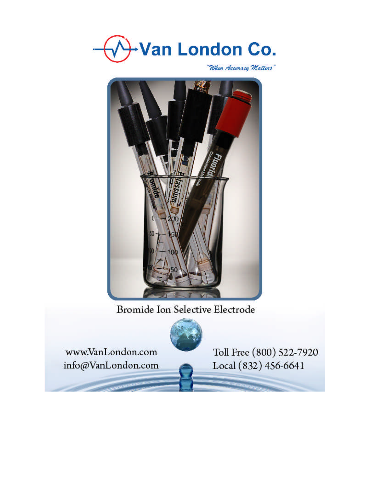

"When Accuracy Matters"



Bromide Ion Selective Electrode



www.VanLondon.com info@VanLondon.com Toll Free (800) 522-7920 Local (832) 456-6641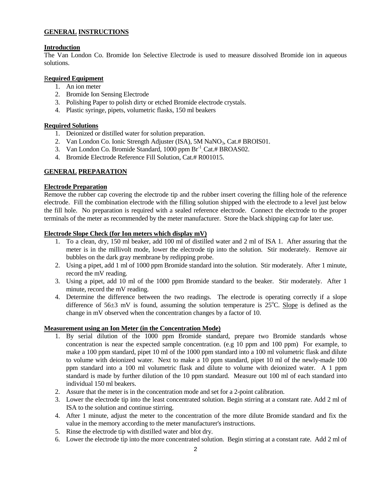# **GENERAL INSTRUCTIONS**

## **Introduction**

The Van London Co. Bromide Ion Selective Electrode is used to measure dissolved Bromide ion in aqueous solutions.

## R**equired Equipment**

- 1. An ion meter
- 2. Bromide Ion Sensing Electrode
- 3. Polishing Paper to polish dirty or etched Bromide electrode crystals.
- 4. Plastic syringe, pipets, volumetric flasks, 150 ml beakers

## **Required Solutions**

- 1. Deionized or distilled water for solution preparation.
- 2. Van London Co. Ionic Strength Adjuster (ISA), 5M NaNO<sub>3</sub>, Cat.# BROIS01.
- 3. Van London Co. Bromide Standard, 1000 ppm Br<sup>-1</sup>, Cat.# BROAS02.
- 4. Bromide Electrode Reference Fill Solution, Cat.# R001015.

# **GENERAL PREPARATION**

## **Electrode Preparation**

Remove the rubber cap covering the electrode tip and the rubber insert covering the filling hole of the reference electrode. Fill the combination electrode with the filling solution shipped with the electrode to a level just below the fill hole. No preparation is required with a sealed reference electrode. Connect the electrode to the proper terminals of the meter as recommended by the meter manufacturer. Store the black shipping cap for later use.

# **Electrode Slope Check (for Ion meters which display mV)**

- 1. To a clean, dry, 150 ml beaker, add 100 ml of distilled water and 2 ml of ISA 1. After assuring that the meter is in the millivolt mode, lower the electrode tip into the solution. Stir moderately. Remove air bubbles on the dark gray membrane by redipping probe.
- 2. Using a pipet, add 1 ml of 1000 ppm Bromide standard into the solution. Stir moderately. After 1 minute, record the mV reading.
- 3. Using a pipet, add 10 ml of the 1000 ppm Bromide standard to the beaker. Stir moderately. After 1 minute, record the mV reading.
- 4. Determine the difference between the two readings. The electrode is operating correctly if a slope difference of  $56\pm3$  mV is found, assuming the solution temperature is  $25^{\circ}$ C. Slope is defined as the change in mV observed when the concentration changes by a factor of 10.

## **Measurement using an Ion Meter (in the Concentration Mode)**

- 1. By serial dilution of the 1000 ppm Bromide standard, prepare two Bromide standards whose concentration is near the expected sample concentration. (e.g 10 ppm and 100 ppm) For example, to make a 100 ppm standard, pipet 10 ml of the 1000 ppm standard into a 100 ml volumetric flask and dilute to volume with deionized water. Next to make a 10 ppm standard, pipet 10 ml of the newly-made 100 ppm standard into a 100 ml volumetric flask and dilute to volume with deionized water. A 1 ppm standard is made by further dilution of the 10 ppm standard. Measure out 100 ml of each standard into individual 150 ml beakers.
- 2. Assure that the meter is in the concentration mode and set for a 2-point calibration.
- 3. Lower the electrode tip into the least concentrated solution. Begin stirring at a constant rate. Add 2 ml of ISA to the solution and continue stirring.
- 4. After 1 minute, adjust the meter to the concentration of the more dilute Bromide standard and fix the value in the memory according to the meter manufacturer's instructions.
- 5. Rinse the electrode tip with distilled water and blot dry.
- 6. Lower the electrode tip into the more concentrated solution. Begin stirring at a constant rate. Add 2 ml of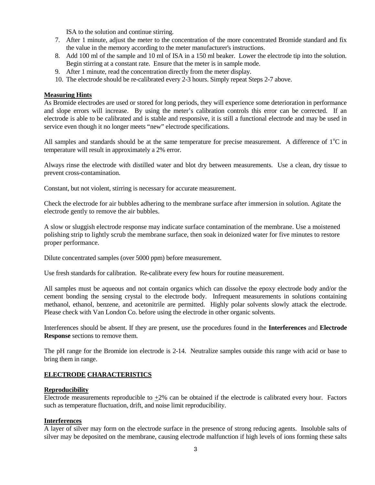ISA to the solution and continue stirring.

- 7. After 1 minute, adjust the meter to the concentration of the more concentrated Bromide standard and fix the value in the memory according to the meter manufacturer's instructions.
- 8. Add 100 ml of the sample and 10 ml of ISA in a 150 ml beaker. Lower the electrode tip into the solution. Begin stirring at a constant rate. Ensure that the meter is in sample mode.
- 9. After 1 minute, read the concentration directly from the meter display.
- 10. The electrode should be re-calibrated every 2-3 hours. Simply repeat Steps 2-7 above.

#### **Measuring Hints**

As Bromide electrodes are used or stored for long periods, they will experience some deterioration in performance and slope errors will increase. By using the meter's calibration controls this error can be corrected. If an electrode is able to be calibrated and is stable and responsive, it is still a functional electrode and may be used in service even though it no longer meets "new" electrode specifications.

All samples and standards should be at the same temperature for precise measurement. A difference of  $1^{\circ}C$  in temperature will result in approximately a 2% error.

Always rinse the electrode with distilled water and blot dry between measurements. Use a clean, dry tissue to prevent cross-contamination.

Constant, but not violent, stirring is necessary for accurate measurement.

Check the electrode for air bubbles adhering to the membrane surface after immersion in solution. Agitate the electrode gently to remove the air bubbles.

A slow or sluggish electrode response may indicate surface contamination of the membrane. Use a moistened polishing strip to lightly scrub the membrane surface, then soak in deionized water for five minutes to restore proper performance.

Dilute concentrated samples (over 5000 ppm) before measurement.

Use fresh standards for calibration. Re-calibrate every few hours for routine measurement.

All samples must be aqueous and not contain organics which can dissolve the epoxy electrode body and/or the cement bonding the sensing crystal to the electrode body. Infrequent measurements in solutions containing methanol, ethanol, benzene, and acetonitrile are permitted. Highly polar solvents slowly attack the electrode. Please check with Van London Co. before using the electrode in other organic solvents.

Interferences should be absent. If they are present, use the procedures found in the **Interferences** and **Electrode Response** sections to remove them.

The pH range for the Bromide ion electrode is 2-14. Neutralize samples outside this range with acid or base to bring them in range.

## **ELECTRODE CHARACTERISTICS**

#### **Reproducibility**

Electrode measurements reproducible to +2% can be obtained if the electrode is calibrated every hour. Factors such as temperature fluctuation, drift, and noise limit reproducibility.

# **Interferences**

A layer of silver may form on the electrode surface in the presence of strong reducing agents. Insoluble salts of silver may be deposited on the membrane, causing electrode malfunction if high levels of ions forming these salts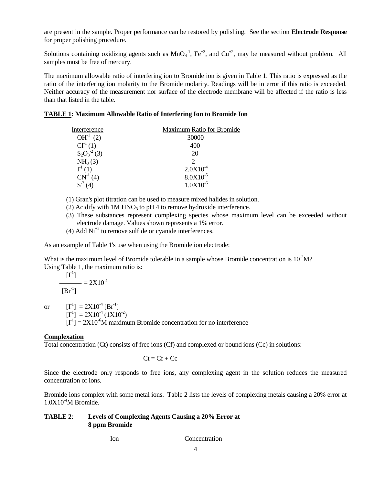are present in the sample. Proper performance can be restored by polishing. See the section **Electrode Response** for proper polishing procedure.

Solutions containing oxidizing agents such as  $MnO<sub>4</sub><sup>-1</sup>$ ,  $Fe<sup>+3</sup>$ , and  $Cu<sup>+2</sup>$ , may be measured without problem. All samples must be free of mercury.

The maximum allowable ratio of interfering ion to Bromide ion is given in Table 1. This ratio is expressed as the ratio of the interfering ion molarity to the Bromide molarity. Readings will be in error if this ratio is exceeded. Neither accuracy of the measurement nor surface of the electrode membrane will be affected if the ratio is less than that listed in the table.

## **TABLE 1: Maximum Allowable Ratio of Interfering Ion to Bromide Ion**

| Interference      | <b>Maximum Ratio for Bromide</b> |  |
|-------------------|----------------------------------|--|
| $OH^{-1}$ (2)     | 30000                            |  |
| $Cl-1(1)$         | 400                              |  |
| $S_2O_3^{-2}$ (3) | 20                               |  |
| $NH_3(3)$         | $\mathcal{D}_{\mathcal{A}}$      |  |
| $\Gamma^1(1)$     | $2.0X10^{-4}$                    |  |
| $CN^{-1}(4)$      | $8.0X10^{-5}$                    |  |
|                   | $1.0X10^{-6}$                    |  |

- (1) Gran's plot titration can be used to measure mixed halides in solution.
- (2) Acidify with  $1M HNO<sub>3</sub>$  to pH 4 to remove hydroxide interference.
- (3) These substances represent complexing species whose maximum level can be exceeded without electrode damage. Values shown represents a 1% error.
- (4) Add  $Ni<sup>+2</sup>$  to remove sulfide or cyanide interferences.

As an example of Table 1's use when using the Bromide ion electrode:

What is the maximum level of Bromide tolerable in a sample whose Bromide concentration is  $10^{-2}M$ ? Using Table 1, the maximum ratio is:  $\frac{1}{1}$ 

$$
\frac{[1^{\text{-}}]}{[Br^{\text{-}}]} = 2X10^{-4}
$$

or  $[I^{-1}] = 2X10^{-4} [Br^{-1}]$  $[I^1] = 2X10^4 (1X10^2)$  $[I^{-1}] = 2X10^{-6}$ M maximum Bromide concentration for no interference

## **Complexation**

Total concentration (Ct) consists of free ions (Cf) and complexed or bound ions (Cc) in solutions:

$$
Ct = Cf + Cc
$$

Since the electrode only responds to free ions, any complexing agent in the solution reduces the measured concentration of ions.

Bromide ions complex with some metal ions. Table 2 lists the levels of complexing metals causing a 20% error at  $1.0X10<sup>-4</sup>M$  Bromide.

## **TABLE 2**: **Levels of Complexing Agents Causing a 20% Error at 8 ppm Bromide**

Ion Concentration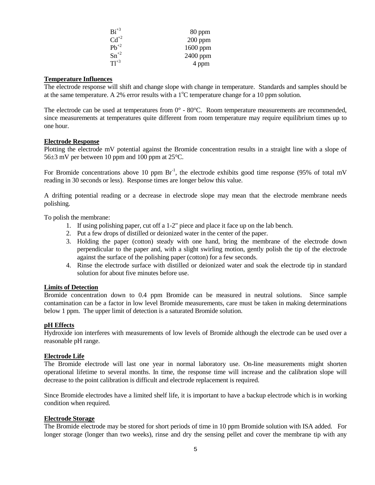| $Bi^{+3}$ | 80 ppm    |
|-----------|-----------|
| $Cd^{+2}$ | $200$ ppm |
| $Pb^{+2}$ | 1600 ppm  |
| $Sn^{+2}$ | 2400 ppm  |
| $T1^{+3}$ | 4 ppm     |

#### **Temperature Influences**

The electrode response will shift and change slope with change in temperature. Standards and samples should be at the same temperature. A 2% error results with a  $1^{\circ}$ C temperature change for a 10 ppm solution.

The electrode can be used at temperatures from  $0^{\circ}$  - 80 $^{\circ}$ C. Room temperature measurements are recommended, since measurements at temperatures quite different from room temperature may require equilibrium times up to one hour.

#### **Electrode Response**

Plotting the electrode mV potential against the Bromide concentration results in a straight line with a slope of 56±3 mV per between 10 ppm and 100 ppm at 25°C.

For Bromide concentrations above 10 ppm  $Br^{-1}$ , the electrode exhibits good time response (95% of total mV reading in 30 seconds or less). Response times are longer below this value.

A drifting potential reading or a decrease in electrode slope may mean that the electrode membrane needs polishing.

To polish the membrane:

- 1. If using polishing paper, cut off a 1-2" piece and place it face up on the lab bench.
- 2. Put a few drops of distilled or deionized water in the center of the paper.
- 3. Holding the paper (cotton) steady with one hand, bring the membrane of the electrode down perpendicular to the paper and, with a slight swirling motion, gently polish the tip of the electrode against the surface of the polishing paper (cotton) for a few seconds.
- 4. Rinse the electrode surface with distilled or deionized water and soak the electrode tip in standard solution for about five minutes before use.

#### **Limits of Detection**

Bromide concentration down to 0.4 ppm Bromide can be measured in neutral solutions. Since sample contamination can be a factor in low level Bromide measurements, care must be taken in making determinations below 1 ppm. The upper limit of detection is a saturated Bromide solution.

#### **pH Effects**

Hydroxide ion interferes with measurements of low levels of Bromide although the electrode can be used over a reasonable pH range.

#### **Electrode Life**

The Bromide electrode will last one year in normal laboratory use. On-line measurements might shorten operational lifetime to several months. In time, the response time will increase and the calibration slope will decrease to the point calibration is difficult and electrode replacement is required.

Since Bromide electrodes have a limited shelf life, it is important to have a backup electrode which is in working condition when required.

#### **Electrode Storage**

The Bromide electrode may be stored for short periods of time in 10 ppm Bromide solution with ISA added. For longer storage (longer than two weeks), rinse and dry the sensing pellet and cover the membrane tip with any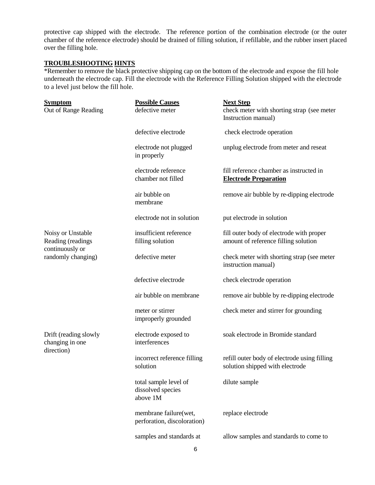protective cap shipped with the electrode. The reference portion of the combination electrode (or the outer chamber of the reference electrode) should be drained of filling solution, if refillable, and the rubber insert placed over the filling hole.

# **TROUBLESHOOTING HINTS**

\*Remember to remove the black protective shipping cap on the bottom of the electrode and expose the fill hole underneath the electrode cap. Fill the electrode with the Reference Filling Solution shipped with the electrode to a level just below the fill hole.

| <b>Symptom</b><br>Out of Range Reading                                          | <b>Possible Causes</b><br>defective meter              | <b>Next Step</b><br>check meter with shorting strap (see meter<br>Instruction manual) |
|---------------------------------------------------------------------------------|--------------------------------------------------------|---------------------------------------------------------------------------------------|
|                                                                                 | defective electrode                                    | check electrode operation                                                             |
|                                                                                 | electrode not plugged<br>in properly                   | unplug electrode from meter and reseat                                                |
|                                                                                 | electrode reference<br>chamber not filled              | fill reference chamber as instructed in<br><b>Electrode Preparation</b>               |
|                                                                                 | air bubble on<br>membrane                              | remove air bubble by re-dipping electrode                                             |
|                                                                                 | electrode not in solution                              | put electrode in solution                                                             |
| Noisy or Unstable<br>Reading (readings<br>continuously or<br>randomly changing) | insufficient reference<br>filling solution             | fill outer body of electrode with proper<br>amount of reference filling solution      |
|                                                                                 | defective meter                                        | check meter with shorting strap (see meter<br>instruction manual)                     |
|                                                                                 | defective electrode                                    | check electrode operation                                                             |
|                                                                                 | air bubble on membrane                                 | remove air bubble by re-dipping electrode                                             |
|                                                                                 | meter or stirrer<br>improperly grounded                | check meter and stirrer for grounding                                                 |
| Drift (reading slowly<br>changing in one<br>direction)                          | electrode exposed to<br>interferences                  | soak electrode in Bromide standard                                                    |
|                                                                                 | incorrect reference filling<br>solution                | refill outer body of electrode using filling<br>solution shipped with electrode       |
|                                                                                 | total sample level of<br>dissolved species<br>above 1M | dilute sample                                                                         |
|                                                                                 | membrane failure(wet,<br>perforation, discoloration)   | replace electrode                                                                     |
|                                                                                 | samples and standards at                               | allow samples and standards to come to                                                |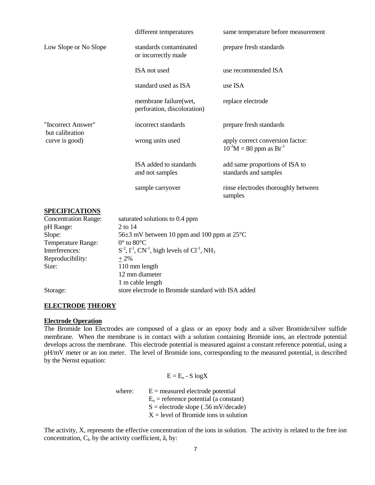|                                                         | different temperatures                               | same temperature before measurement                                  |
|---------------------------------------------------------|------------------------------------------------------|----------------------------------------------------------------------|
| Low Slope or No Slope                                   | standards contaminated<br>or incorrectly made        | prepare fresh standards                                              |
|                                                         | ISA not used                                         | use recommended ISA                                                  |
|                                                         | standard used as ISA                                 | use ISA                                                              |
|                                                         | membrane failure(wet,<br>perforation, discoloration) | replace electrode                                                    |
| "Incorrect Answer"<br>but calibration<br>curve is good) | incorrect standards                                  | prepare fresh standards                                              |
|                                                         | wrong units used                                     | apply correct conversion factor:<br>$10^{-3}M = 80$ ppm as $Br^{-1}$ |
|                                                         | ISA added to standards<br>and not samples            | add same proportions of ISA to<br>standards and samples              |
|                                                         | sample carryover                                     | rinse electrodes thoroughly between<br>samples                       |

#### **SPECIFICATIONS**

| <b>Concentration Range:</b> | saturated solutions to 0.4 ppm                                        |
|-----------------------------|-----------------------------------------------------------------------|
| pH Range:                   | 2 to 14                                                               |
| Slope:                      | 56 $\pm$ 3 mV between 10 ppm and 100 ppm at 25 <sup>o</sup> C         |
| Temperature Range:          | $0^{\circ}$ to $80^{\circ}$ C                                         |
| Interferences:              | $S^2$ , $\Gamma^1$ , $CN^1$ , high levels of $Cl^1$ , NH <sub>3</sub> |
| Reproducibility:            | $+2\%$                                                                |
| Size:                       | 110 mm length                                                         |
|                             | 12 mm diameter                                                        |
|                             | 1 m cable length                                                      |
| Storage:                    | store electrode in Bromide standard with ISA added                    |

## **ELECTRODE THEORY**

#### **Electrode Operation**

The Bromide Ion Electrodes are composed of a glass or an epoxy body and a silver Bromide/silver sulfide membrane. When the membrane is in contact with a solution containing Bromide ions, an electrode potential develops across the membrane. This electrode potential is measured against a constant reference potential, using a pH/mV meter or an ion meter. The level of Bromide ions, corresponding to the measured potential, is described by the Nernst equation:

$$
E = E_o - S \log X
$$

where:  $E =$  measured electrode potential  $E<sub>o</sub>$  = reference potential (a constant)  $S =$  electrode slope ( $.56$  mV/decade)  $X = level of Bromide ions in solution$ 

The activity, X, represents the effective concentration of the ions in solution. The activity is related to the free ion concentration,  $C_f$ , by the activity coefficient,  $\tilde{a}$ , by: